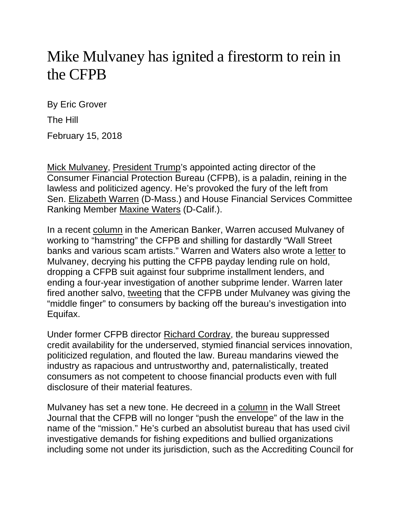## Mike Mulvaney has ignited a firestorm to rein in the CFPB

By Eric Grover

The Hill

February 15, 2018

[Mick Mulvaney,](http://thehill.com/people/mick-mulvaney) [President Trump'](http://thehill.com/people/donald-trump)s appointed acting director of the Consumer Financial Protection Bureau (CFPB), is a paladin, reining in the lawless and politicized agency. He's provoked the fury of the left from Sen. [Elizabeth Warren](http://thehill.com/people/elizabeth-warren) (D-Mass.) and House Financial Services Committee Ranking Member [Maxine Waters](http://thehill.com/people/maxine-waters) (D-Calif.).

In a recent [column](https://www.americanbanker.com/opinion/misguided-data-freeze-keeps-cfpb-from-doing-its-job-warren) in the American Banker, Warren accused Mulvaney of working to "hamstring" the CFPB and shilling for dastardly "Wall Street banks and various scam artists." Warren and Waters also wrote a [letter](https://www.warren.senate.gov/files/documents/2018_01_31_Warren_Waters_letter.pdf) to Mulvaney, decrying his putting the CFPB payday lending rule on hold, dropping a CFPB suit against four subprime installment lenders, and ending a four-year investigation of another subprime lender. Warren later fired another salvo, [tweeting](https://twitter.com/senwarren/status/960613338131714048) that the CFPB under Mulvaney was giving the "middle finger" to consumers by backing off the bureau's investigation into Equifax.

Under former CFPB director [Richard Cordray,](http://thehill.com/people/richard-cordray) the bureau suppressed credit availability for the underserved, stymied financial services innovation, politicized regulation, and flouted the law. Bureau mandarins viewed the industry as rapacious and untrustworthy and, paternalistically, treated consumers as not competent to choose financial products even with full disclosure of their material features.

Mulvaney has set a new tone. He decreed in a [column](https://www.wsj.com/articles/the-cfpb-has-pushed-its-last-envelope-1516743561) in the Wall Street Journal that the CFPB will no longer "push the envelope" of the law in the name of the "mission." He's curbed an absolutist bureau that has used civil investigative demands for fishing expeditions and bullied organizations including some not under its jurisdiction, such as the Accrediting Council for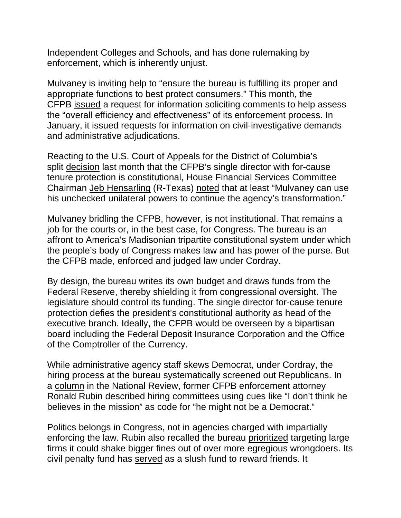Independent Colleges and Schools, and has done rulemaking by enforcement, which is inherently unjust.

Mulvaney is inviting help to "ensure the bureau is fulfilling its proper and appropriate functions to best protect consumers." This month, the CFPB [issued](http://files.consumerfinance.gov/f/documents/cfpb_rfi_enforcement-processes_022018.pdf) a request for information soliciting comments to help assess the "overall efficiency and effectiveness" of its enforcement process. In January, it issued requests for information on civil-investigative demands and administrative adjudications.

Reacting to the U.S. Court of Appeals for the District of Columbia's split [decision](https://www.cadc.uscourts.gov/internet/opinions.nsf/B7623651686D60D585258226005405AC/$file/15-1177.pdf) last month that the CFPB's single director with for-cause tenure protection is constitutional, House Financial Services Committee Chairman [Jeb Hensarling](http://thehill.com/people/jeb-hensarling) (R-Texas) [noted](https://financialservices.house.gov/news/documentsingle.aspx?DocumentID=402979) that at least "Mulvaney can use his unchecked unilateral powers to continue the agency's transformation."

Mulvaney bridling the CFPB, however, is not institutional. That remains a job for the courts or, in the best case, for Congress. The bureau is an affront to America's Madisonian tripartite constitutional system under which the people's body of Congress makes law and has power of the purse. But the CFPB made, enforced and judged law under Cordray.

By design, the bureau writes its own budget and draws funds from the Federal Reserve, thereby shielding it from congressional oversight. The legislature should control its funding. The single director for-cause tenure protection defies the president's constitutional authority as head of the executive branch. Ideally, the CFPB would be overseen by a bipartisan board including the Federal Deposit Insurance Corporation and the Office of the Comptroller of the Currency.

While administrative agency staff skews Democrat, under Cordray, the hiring process at the bureau systematically screened out Republicans. In a [column](http://www.nationalreview.com/article/443227/consumer-financial-protection-bureaus-tragic-failures) in the National Review, former CFPB enforcement attorney Ronald Rubin described hiring committees using cues like "I don't think he believes in the mission" as code for "he might not be a Democrat."

Politics belongs in Congress, not in agencies charged with impartially enforcing the law. Rubin also recalled the bureau [prioritized](http://www.nationalreview.com/article/443227/consumer-financial-protection-bureau-tragic-failures) targeting large firms it could shake bigger fines out of over more egregious wrongdoers. Its civil penalty fund has [served](https://www.investors.com/politics/editorials/clipping-the-corrupt-cfpbs-wings/) as a slush fund to reward friends. It